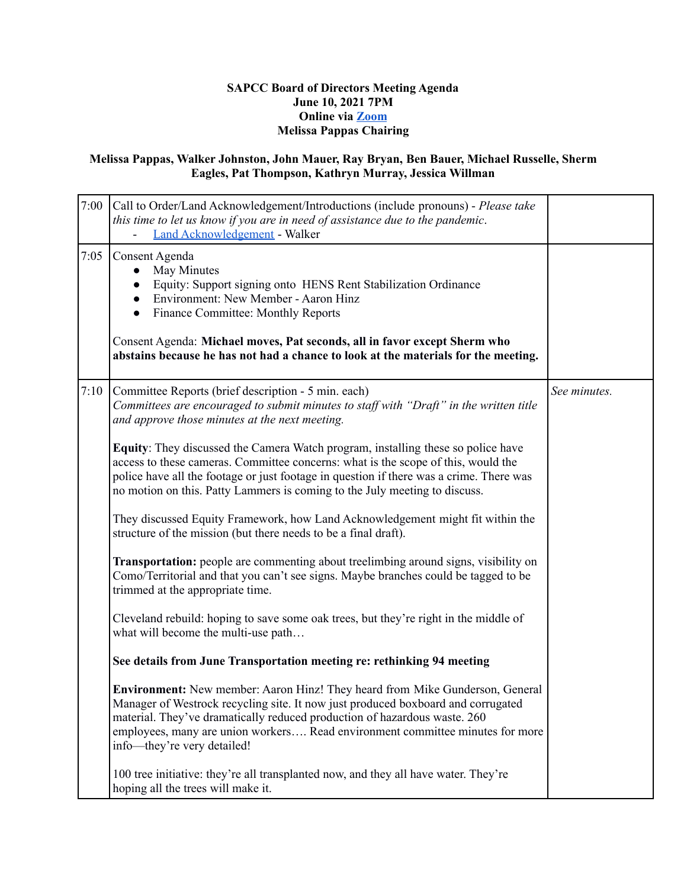## **SAPCC Board of Directors Meeting Agenda June 10, 2021 7PM Online via [Zoom](https://zoom.us/j/94313936880?pwd=MVVwU2xGTkJGVE1YM1g2Z2Z5UGhHdz09) Melissa Pappas Chairing**

## **Melissa Pappas, Walker Johnston, John Mauer, Ray Bryan, Ben Bauer, Michael Russelle, Sherm Eagles, Pat Thompson, Kathryn Murray, Jessica Willman**

| 7:00 | Call to Order/Land Acknowledgement/Introductions (include pronouns) - Please take<br>this time to let us know if you are in need of assistance due to the pandemic.<br><b>Land Acknowledgement - Walker</b>                                                                                                                                                   |              |
|------|---------------------------------------------------------------------------------------------------------------------------------------------------------------------------------------------------------------------------------------------------------------------------------------------------------------------------------------------------------------|--------------|
| 7:05 | Consent Agenda<br>May Minutes<br>$\bullet$<br>Equity: Support signing onto HENS Rent Stabilization Ordinance<br>$\bullet$<br>Environment: New Member - Aaron Hinz<br>$\bullet$<br><b>Finance Committee: Monthly Reports</b><br>$\bullet$                                                                                                                      |              |
|      | Consent Agenda: Michael moves, Pat seconds, all in favor except Sherm who<br>abstains because he has not had a chance to look at the materials for the meeting.                                                                                                                                                                                               |              |
| 7:10 | Committee Reports (brief description - 5 min. each)<br>Committees are encouraged to submit minutes to staff with "Draft" in the written title<br>and approve those minutes at the next meeting.                                                                                                                                                               | See minutes. |
|      | Equity: They discussed the Camera Watch program, installing these so police have<br>access to these cameras. Committee concerns: what is the scope of this, would the<br>police have all the footage or just footage in question if there was a crime. There was<br>no motion on this. Patty Lammers is coming to the July meeting to discuss.                |              |
|      | They discussed Equity Framework, how Land Acknowledgement might fit within the<br>structure of the mission (but there needs to be a final draft).                                                                                                                                                                                                             |              |
|      | Transportation: people are commenting about treelimbing around signs, visibility on<br>Como/Territorial and that you can't see signs. Maybe branches could be tagged to be<br>trimmed at the appropriate time.                                                                                                                                                |              |
|      | Cleveland rebuild: hoping to save some oak trees, but they're right in the middle of<br>what will become the multi-use path                                                                                                                                                                                                                                   |              |
|      | See details from June Transportation meeting re: rethinking 94 meeting                                                                                                                                                                                                                                                                                        |              |
|      | Environment: New member: Aaron Hinz! They heard from Mike Gunderson, General<br>Manager of Westrock recycling site. It now just produced boxboard and corrugated<br>material. They've dramatically reduced production of hazardous waste. 260<br>employees, many are union workers Read environment committee minutes for more<br>info-they're very detailed! |              |
|      | 100 tree initiative: they're all transplanted now, and they all have water. They're<br>hoping all the trees will make it.                                                                                                                                                                                                                                     |              |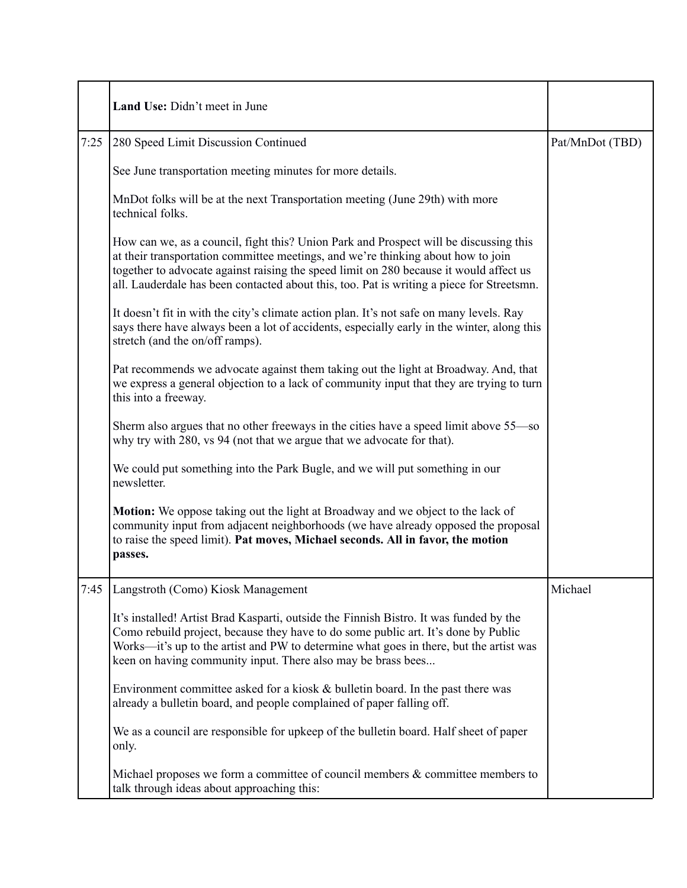|      | Land Use: Didn't meet in June                                                                                                                                                                                                                                                                                                                                    |                 |
|------|------------------------------------------------------------------------------------------------------------------------------------------------------------------------------------------------------------------------------------------------------------------------------------------------------------------------------------------------------------------|-----------------|
| 7:25 | 280 Speed Limit Discussion Continued                                                                                                                                                                                                                                                                                                                             | Pat/MnDot (TBD) |
|      | See June transportation meeting minutes for more details.                                                                                                                                                                                                                                                                                                        |                 |
|      | MnDot folks will be at the next Transportation meeting (June 29th) with more<br>technical folks.                                                                                                                                                                                                                                                                 |                 |
|      | How can we, as a council, fight this? Union Park and Prospect will be discussing this<br>at their transportation committee meetings, and we're thinking about how to join<br>together to advocate against raising the speed limit on 280 because it would affect us<br>all. Lauderdale has been contacted about this, too. Pat is writing a piece for Streetsmn. |                 |
|      | It doesn't fit in with the city's climate action plan. It's not safe on many levels. Ray<br>says there have always been a lot of accidents, especially early in the winter, along this<br>stretch (and the on/off ramps).                                                                                                                                        |                 |
|      | Pat recommends we advocate against them taking out the light at Broadway. And, that<br>we express a general objection to a lack of community input that they are trying to turn<br>this into a freeway.                                                                                                                                                          |                 |
|      | Sherm also argues that no other freeways in the cities have a speed limit above 55—so<br>why try with 280, vs 94 (not that we argue that we advocate for that).                                                                                                                                                                                                  |                 |
|      | We could put something into the Park Bugle, and we will put something in our<br>newsletter.                                                                                                                                                                                                                                                                      |                 |
|      | Motion: We oppose taking out the light at Broadway and we object to the lack of<br>community input from adjacent neighborhoods (we have already opposed the proposal<br>to raise the speed limit). Pat moves, Michael seconds. All in favor, the motion<br>passes.                                                                                               |                 |
| 7:45 | Langstroth (Como) Kiosk Management                                                                                                                                                                                                                                                                                                                               | Michael         |
|      | It's installed! Artist Brad Kasparti, outside the Finnish Bistro. It was funded by the<br>Como rebuild project, because they have to do some public art. It's done by Public<br>Works—it's up to the artist and PW to determine what goes in there, but the artist was<br>keen on having community input. There also may be brass bees                           |                 |
|      | Environment committee asked for a kiosk & bulletin board. In the past there was<br>already a bulletin board, and people complained of paper falling off.                                                                                                                                                                                                         |                 |
|      | We as a council are responsible for upkeep of the bulletin board. Half sheet of paper<br>only.                                                                                                                                                                                                                                                                   |                 |
|      | Michael proposes we form a committee of council members $\&$ committee members to<br>talk through ideas about approaching this:                                                                                                                                                                                                                                  |                 |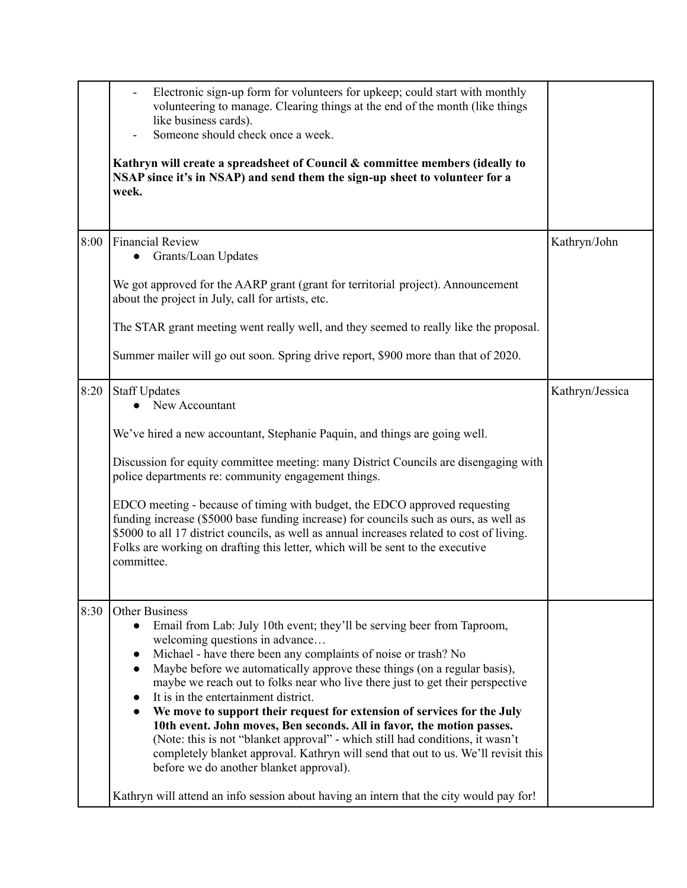|      | Electronic sign-up form for volunteers for upkeep; could start with monthly<br>volunteering to manage. Clearing things at the end of the month (like things<br>like business cards).<br>Someone should check once a week.<br>Kathryn will create a spreadsheet of Council & committee members (ideally to<br>NSAP since it's in NSAP) and send them the sign-up sheet to volunteer for a<br>week.                                                                                                                                                                                                                                                                                                                                                                                                                                                                                                               |                 |
|------|-----------------------------------------------------------------------------------------------------------------------------------------------------------------------------------------------------------------------------------------------------------------------------------------------------------------------------------------------------------------------------------------------------------------------------------------------------------------------------------------------------------------------------------------------------------------------------------------------------------------------------------------------------------------------------------------------------------------------------------------------------------------------------------------------------------------------------------------------------------------------------------------------------------------|-----------------|
| 8:00 | <b>Financial Review</b><br>Grants/Loan Updates<br>We got approved for the AARP grant (grant for territorial project). Announcement<br>about the project in July, call for artists, etc.<br>The STAR grant meeting went really well, and they seemed to really like the proposal.                                                                                                                                                                                                                                                                                                                                                                                                                                                                                                                                                                                                                                | Kathryn/John    |
|      | Summer mailer will go out soon. Spring drive report, \$900 more than that of 2020.                                                                                                                                                                                                                                                                                                                                                                                                                                                                                                                                                                                                                                                                                                                                                                                                                              |                 |
| 8:20 | <b>Staff Updates</b><br>New Accountant<br>We've hired a new accountant, Stephanie Paquin, and things are going well.<br>Discussion for equity committee meeting: many District Councils are disengaging with<br>police departments re: community engagement things.<br>EDCO meeting - because of timing with budget, the EDCO approved requesting<br>funding increase (\$5000 base funding increase) for councils such as ours, as well as<br>\$5000 to all 17 district councils, as well as annual increases related to cost of living.<br>Folks are working on drafting this letter, which will be sent to the executive<br>committee.                                                                                                                                                                                                                                                                        | Kathryn/Jessica |
| 8:30 | <b>Other Business</b><br>Email from Lab: July 10th event; they'll be serving beer from Taproom,<br>$\bullet$<br>welcoming questions in advance<br>Michael - have there been any complaints of noise or trash? No<br>Maybe before we automatically approve these things (on a regular basis),<br>$\bullet$<br>maybe we reach out to folks near who live there just to get their perspective<br>It is in the entertainment district.<br>$\bullet$<br>We move to support their request for extension of services for the July<br>10th event. John moves, Ben seconds. All in favor, the motion passes.<br>(Note: this is not "blanket approval" - which still had conditions, it wasn't<br>completely blanket approval. Kathryn will send that out to us. We'll revisit this<br>before we do another blanket approval).<br>Kathryn will attend an info session about having an intern that the city would pay for! |                 |